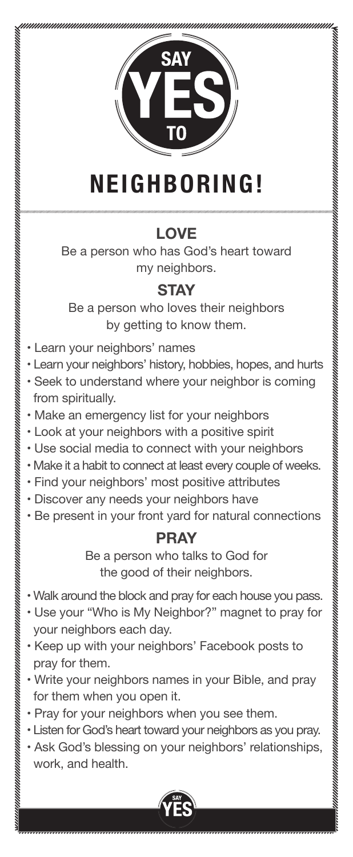

# **NEIGHBORING!**

## **LOVE**

Be a person who has God's heart toward my neighbors.

### **STAY**

Be a person who loves their neighbors by getting to know them.

- Learn your neighbors' names
- Learn your neighbors' history, hobbies, hopes, and hurts
- Seek to understand where your neighbor is coming from spiritually.
- Make an emergency list for your neighbors
- Look at your neighbors with a positive spirit
- Use social media to connect with your neighbors
- Make it a habit to connect at least every couple of weeks.
- Find your neighbors' most positive attributes
- Discover any needs your neighbors have
- Be present in your front yard for natural connections

### **pray**

Be a person who talks to God for the good of their neighbors.

- Walk around the block and pray for each house you pass.
- Use your "Who is My Neighbor?" magnet to pray for your neighbors each day.
- Keep up with your neighbors' Facebook posts to pray for them.
- Write your neighbors names in your Bible, and pray for them when you open it.
- Pray for your neighbors when you see them.
- Listen for God's heart toward your neighbors as you pray.
- Ask God's blessing on your neighbors' relationships, work, and health.